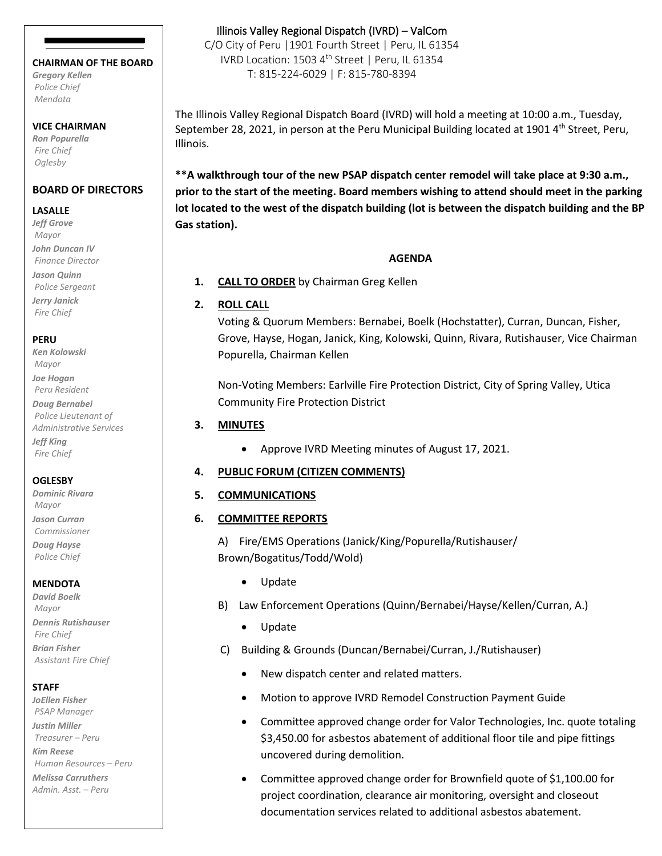#### **CHAIRMAN OF THE BOARD**

*Gregory Kellen Police Chief Mendota*

#### **VICE CHAIRMAN**

*Ron Popurella Fire Chief Oglesby*

### **BOARD OF DIRECTORS**

#### **LASALLE**

*Jeff Grove Mayor John Duncan IV Finance Director Jason Quinn Police Sergeant Jerry Janick Fire Chief*

#### **PERU**

*Ken Kolowski Mayor Joe Hogan Peru Resident Doug Bernabei Police Lieutenant of Administrative Services Jeff King Fire Chief*

#### **OGLESBY**

*Dominic Rivara Mayor Jason Curran Commissioner Doug Hayse Police Chief*

#### **MENDOTA**

*David Boelk Mayor Dennis Rutishauser Fire Chief Brian Fisher Assistant Fire Chief*

#### **STAFF**

*JoEllen Fisher PSAP Manager Justin Miller Treasurer – Peru Kim Reese Human Resources – Peru Melissa Carruthers Admin. Asst. – Peru*

### Illinois Valley Regional Dispatch (IVRD) – ValCom

C/O City of Peru |1901 Fourth Street | Peru, IL 61354 IVRD Location: 1503 4<sup>th</sup> Street | Peru, IL 61354 T: 815-224-6029 | F: 815-780-8394

The Illinois Valley Regional Dispatch Board (IVRD) will hold a meeting at 10:00 a.m., Tuesday, September 28, 2021, in person at the Peru Municipal Building located at 1901  $4<sup>th</sup>$  Street, Peru, Illinois.

**\*\*A walkthrough tour of the new PSAP dispatch center remodel will take place at 9:30 a.m., prior to the start of the meeting. Board members wishing to attend should meet in the parking lot located to the west of the dispatch building (lot is between the dispatch building and the BP Gas station).**

#### **AGENDA**

**1. CALL TO ORDER** by Chairman Greg Kellen

#### **2. ROLL CALL**

Voting & Quorum Members: Bernabei, Boelk (Hochstatter), Curran, Duncan, Fisher, Grove, Hayse, Hogan, Janick, King, Kolowski, Quinn, Rivara, Rutishauser, Vice Chairman Popurella, Chairman Kellen

Non-Voting Members: Earlville Fire Protection District, City of Spring Valley, Utica Community Fire Protection District

### **3. MINUTES**

• Approve IVRD Meeting minutes of August 17, 2021.

### **4. PUBLIC FORUM (CITIZEN COMMENTS)**

### **5. COMMUNICATIONS**

- **6. COMMITTEE REPORTS**
	- A) Fire/EMS Operations (Janick/King/Popurella/Rutishauser/ Brown/Bogatitus/Todd/Wold)
		- Update
	- B) Law Enforcement Operations (Quinn/Bernabei/Hayse/Kellen/Curran, A.)
		- Update
	- C) Building & Grounds (Duncan/Bernabei/Curran, J./Rutishauser)
		- New dispatch center and related matters.
		- Motion to approve IVRD Remodel Construction Payment Guide
		- Committee approved change order for Valor Technologies, Inc. quote totaling \$3,450.00 for asbestos abatement of additional floor tile and pipe fittings uncovered during demolition.
		- Committee approved change order for Brownfield quote of \$1,100.00 for project coordination, clearance air monitoring, oversight and closeout documentation services related to additional asbestos abatement.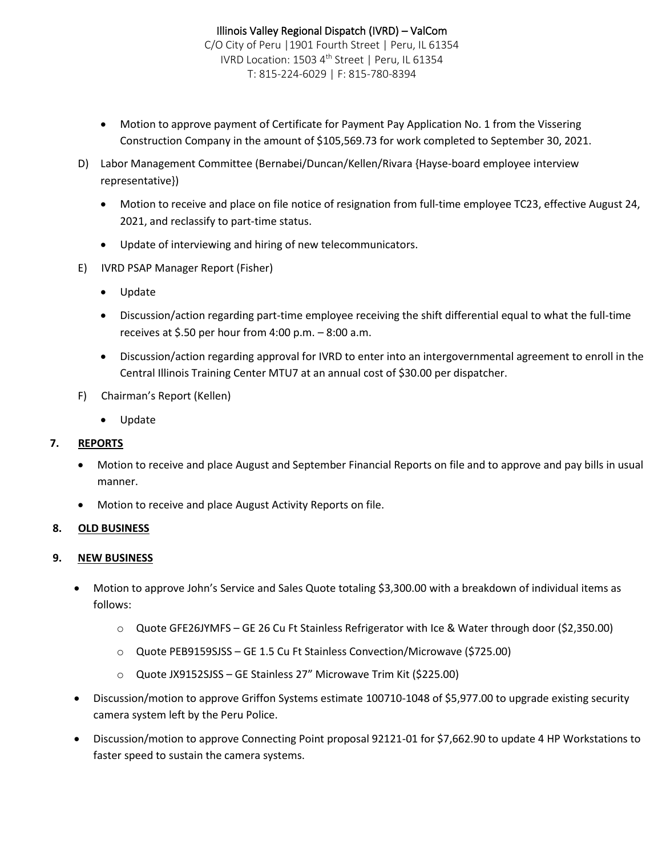- Motion to approve payment of Certificate for Payment Pay Application No. 1 from the Vissering Construction Company in the amount of \$105,569.73 for work completed to September 30, 2021.
- D) Labor Management Committee (Bernabei/Duncan/Kellen/Rivara {Hayse-board employee interview representative})
	- Motion to receive and place on file notice of resignation from full-time employee TC23, effective August 24, 2021, and reclassify to part-time status.
	- Update of interviewing and hiring of new telecommunicators.
- E) IVRD PSAP Manager Report (Fisher)
	- Update
	- Discussion/action regarding part-time employee receiving the shift differential equal to what the full-time receives at \$.50 per hour from 4:00 p.m. – 8:00 a.m.
	- Discussion/action regarding approval for IVRD to enter into an intergovernmental agreement to enroll in the Central Illinois Training Center MTU7 at an annual cost of \$30.00 per dispatcher.
- F) Chairman's Report (Kellen)
	- Update

# **7. REPORTS**

- Motion to receive and place August and September Financial Reports on file and to approve and pay bills in usual manner.
- Motion to receive and place August Activity Reports on file.

# **8. OLD BUSINESS**

# **9. NEW BUSINESS**

- Motion to approve John's Service and Sales Quote totaling \$3,300.00 with a breakdown of individual items as follows:
	- o Quote GFE26JYMFS GE 26 Cu Ft Stainless Refrigerator with Ice & Water through door (\$2,350.00)
	- o Quote PEB9159SJSS GE 1.5 Cu Ft Stainless Convection/Microwave (\$725.00)
	- o Quote JX9152SJSS GE Stainless 27" Microwave Trim Kit (\$225.00)
- Discussion/motion to approve Griffon Systems estimate 100710-1048 of \$5,977.00 to upgrade existing security camera system left by the Peru Police.
- Discussion/motion to approve Connecting Point proposal 92121-01 for \$7,662.90 to update 4 HP Workstations to faster speed to sustain the camera systems.